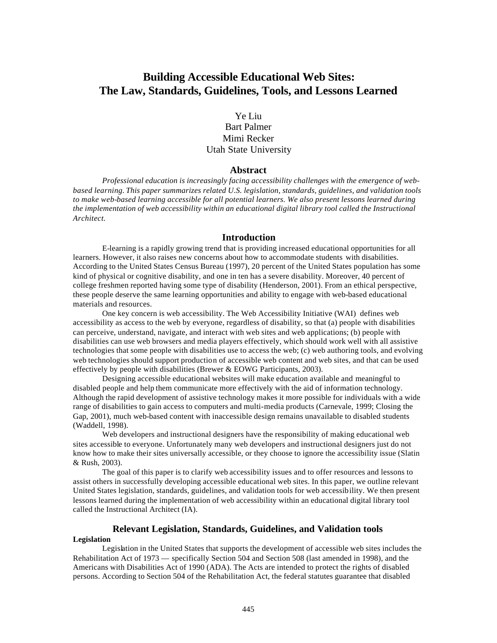# **Building Accessible Educational Web Sites: The Law, Standards, Guidelines, Tools, and Lessons Learned**

Ye Liu Bart Palmer Mimi Recker Utah State University

## **Abstract**

*Professional education is increasingly facing accessibility challenges with the emergence of webbased learning. This paper summarizes related U.S. legislation, standards, guidelines, and validation tools to make web-based learning accessible for all potential learners. We also present lessons learned during the implementation of web accessibility within an educational digital library tool called the Instructional Architect.*

### **Introduction**

E-learning is a rapidly growing trend that is providing increased educational opportunities for all learners. However, it also raises new concerns about how to accommodate students with disabilities. According to the United States Census Bureau (1997), 20 percent of the United States population has some kind of physical or cognitive disability, and one in ten has a severe disability. Moreover, 40 percent of college freshmen reported having some type of disability (Henderson, 2001). From an ethical perspective, these people deserve the same learning opportunities and ability to engage with web-based educational materials and resources.

One key concern is web accessibility. The Web Accessibility Initiative (WAI) defines web accessibility as access to the web by everyone, regardless of disability, so that (a) people with disabilities can perceive, understand, navigate, and interact with web sites and web applications; (b) people with disabilities can use web browsers and media players effectively, which should work well with all assistive technologies that some people with disabilities use to access the web; (c) web authoring tools, and evolving web technologies should support production of accessible web content and web sites, and that can be used effectively by people with disabilities (Brewer & EOWG Participants, 2003).

Designing accessible educational websites will make education available and meaningful to disabled people and help them communicate more effectively with the aid of information technology. Although the rapid development of assistive technology makes it more possible for individuals with a wide range of disabilities to gain access to computers and multi-media products (Carnevale, 1999; Closing the Gap, 2001), much web-based content with inaccessible design remains unavailable to disabled students (Waddell, 1998).

Web developers and instructional designers have the responsibility of making educational web sites accessible to everyone. Unfortunately many web developers and instructional designers just do not know how to make their sites universally accessible, or they choose to ignore the accessibility issue (Slatin & Rush, 2003).

The goal of this paper is to clarify web accessibility issues and to offer resources and lessons to assist others in successfully developing accessible educational web sites. In this paper, we outline relevant United States legislation, standards, guidelines, and validation tools for web accessibility. We then present lessons learned during the implementation of web accessibility within an educational digital library tool called the Instructional Architect (IA).

## **Relevant Legislation, Standards, Guidelines, and Validation tools Legislation**

Legislation in the United States that supports the development of accessible web sites includes the Rehabilitation Act of 1973 — specifically Section 504 and Section 508 (last amended in 1998), and the Americans with Disabilities Act of 1990 (ADA). The Acts are intended to protect the rights of disabled persons. According to Section 504 of the Rehabilitation Act, the federal statutes guarantee that disabled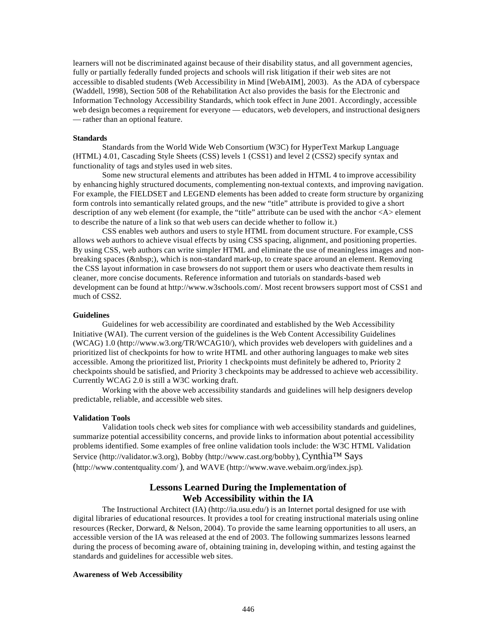learners will not be discriminated against because of their disability status, and all government agencies, fully or partially federally funded projects and schools will risk litigation if their web sites are not accessible to disabled students (Web Accessibility in Mind [WebAIM], 2003). As the ADA of cyberspace (Waddell, 1998), Section 508 of the Rehabilitation Act also provides the basis for the Electronic and Information Technology Accessibility Standards, which took effect in June 2001. Accordingly, accessible web design becomes a requirement for everyone — educators, web developers, and instructional designers — rather than an optional feature.

#### **Standards**

Standards from the World Wide Web Consortium (W3C) for HyperText Markup Language (HTML) 4.01, Cascading Style Sheets (CSS) levels 1 (CSS1) and level 2 (CSS2) specify syntax and functionality of tags and styles used in web sites.

Some new structural elements and attributes has been added in HTML 4 to improve accessibility by enhancing highly structured documents, complementing non-textual contexts, and improving navigation. For example, the FIELDSET and LEGEND elements has been added to create form structure by organizing form controls into semantically related groups, and the new "title" attribute is provided to give a short description of any web element (for example, the "title" attribute can be used with the anchor <A> element to describe the nature of a link so that web users can decide whether to follow it.)

CSS enables web authors and users to style HTML from document structure. For example, CSS allows web authors to achieve visual effects by using CSS spacing, alignment, and positioning properties. By using CSS, web authors can write simpler HTML and eliminate the use of meaningless images and nonbreaking spaces ( ), which is non-standard mark-up, to create space around an element. Removing the CSS layout information in case browsers do not support them or users who deactivate them results in cleaner, more concise documents. Reference information and tutorials on standards-based web development can be found at http://www.w3schools.com/. Most recent browsers support most of CSS1 and much of CSS2.

#### **Guidelines**

Guidelines for web accessibility are coordinated and established by the Web Accessibility Initiative (WAI). The current version of the guidelines is the Web Content Accessibility Guidelines (WCAG) 1.0 (http://www.w3.org/TR/WCAG10/), which provides web developers with guidelines and a prioritized list of checkpoints for how to write HTML and other authoring languages to make web sites accessible. Among the prioritized list, Priority 1 checkpoints must definitely be adhered to, Priority 2 checkpoints should be satisfied, and Priority 3 checkpoints may be addressed to achieve web accessibility. Currently WCAG 2.0 is still a W3C working draft.

Working with the above web accessibility standards and guidelines will help designers develop predictable, reliable, and accessible web sites.

#### **Validation Tools**

Validation tools check web sites for compliance with web accessibility standards and guidelines, summarize potential accessibility concerns, and provide links to information about potential accessibility problems identified. Some examples of free online validation tools include: the W3C HTML Validation Service (http://validator.w3.org), Bobby (http://www.cast.org/bobby), Cynthia™ Says (http://www.contentquality.com/), and WAVE (http://www.wave.webaim.org/index.jsp).

# **Lessons Learned During the Implementation of Web Accessibility within the IA**

The Instructional Architect (IA) (http://ia.usu.edu/) is an Internet portal designed for use with digital libraries of educational resources. It provides a tool for creating instructional materials using online resources (Recker, Dorward, & Nelson, 2004). To provide the same learning opportunities to all users, an accessible version of the IA was released at the end of 2003. The following summarizes lessons learned during the process of becoming aware of, obtaining training in, developing within, and testing against the standards and guidelines for accessible web sites.

### **Awareness of Web Accessibility**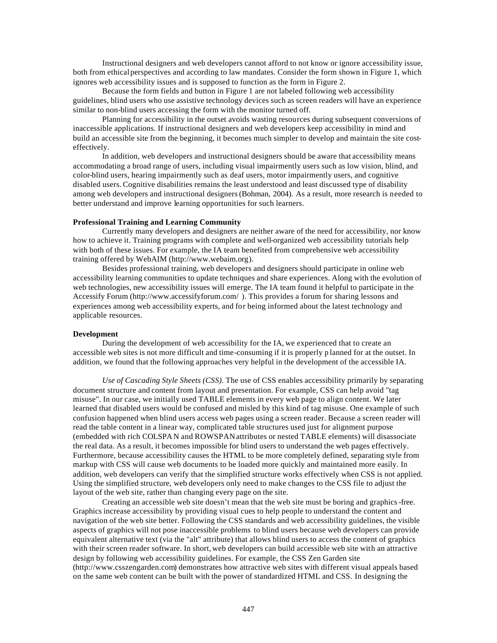Instructional designers and web developers cannot afford to not know or ignore accessibility issue, both from ethical perspectives and according to law mandates. Consider the form shown in Figure 1, which ignores web accessibility issues and is supposed to function as the form in Figure 2.

Because the form fields and button in Figure 1 are not labeled following web accessibility guidelines, blind users who use assistive technology devices such as screen readers will have an experience similar to non-blind users accessing the form with the monitor turned off.

Planning for accessibility in the outset avoids wasting resources during subsequent conversions of inaccessible applications. If instructional designers and web developers keep accessibility in mind and build an accessible site from the beginning, it becomes much simpler to develop and maintain the site costeffectively.

In addition, web developers and instructional designers should be aware that accessibility means accommodating a broad range of users, including visual impairmently users such as low vision, blind, and color-blind users, hearing impairmently such as deaf users, motor impairmently users, and cognitive disabled users. Cognitive disabilities remains the least understood and least discussed type of disability among web developers and instructional designers (Bohman, 2004). As a result, more research is needed to better understand and improve learning opportunities for such learners.

### **Professional Training and Learning Community**

Currently many developers and designers are neither aware of the need for accessibility, nor know how to achieve it. Training programs with complete and well-organized web accessibility tutorials help with both of these issues. For example, the IA team benefited from comprehensive web accessibility training offered by WebAIM (http://www.webaim.org).

Besides professional training, web developers and designers should participate in online web accessibility learning communities to update techniques and share experiences. Along with the evolution of web technologies, new accessibility issues will emerge. The IA team found it helpful to participate in the Accessify Forum (http://www.accessifyforum.com/ ). This provides a forum for sharing lessons and experiences among web accessibility experts, and for being informed about the latest technology and applicable resources.

## **Development**

During the development of web accessibility for the IA, we experienced that to create an accessible web sites is not more difficult and time-consuming if it is properly p lanned for at the outset. In addition, we found that the following approaches very helpful in the development of the accessible IA.

*Use of Cascading Style Sheets (CSS).* The use of CSS enables accessibility primarily by separating document structure and content from layout and presentation. For example, CSS can help avoid "tag misuse". In our case, we initially used TABLE elements in every web page to align content. We later learned that disabled users would be confused and misled by this kind of tag misuse. One example of such confusion happened when blind users access web pages using a screen reader. Because a screen reader will read the table content in a linear way, complicated table structures used just for alignment purpose (embedded with rich COLSPAN and ROWSPAN attributes or nested TABLE elements) will disassociate the real data. As a result, it becomes impossible for blind users to understand the web pages effectively. Furthermore, because accessibility causes the HTML to be more completely defined, separating style from markup with CSS will cause web documents to be loaded more quickly and maintained more easily. In addition, web developers can verify that the simplified structure works effectively when CSS is not applied. Using the simplified structure, web developers only need to make changes to the CSS file to adjust the layout of the web site, rather than changing every page on the site.

Creating an accessible web site doesn't mean that the web site must be boring and graphics-free. Graphics increase accessibility by providing visual cues to help people to understand the content and navigation of the web site better. Following the CSS standards and web accessibility guidelines, the visible aspects of graphics will not pose inaccessible problems to blind users because web developers can provide equivalent alternative text (via the "alt" attribute) that allows blind users to access the content of graphics with their screen reader software. In short, web developers can build accessible web site with an attractive design by following web accessibility guidelines. For example, the CSS Zen Garden site (http://www.csszengarden.com) demonstrates how attractive web sites with different visual appeals based on the same web content can be built with the power of standardized HTML and CSS. In designing the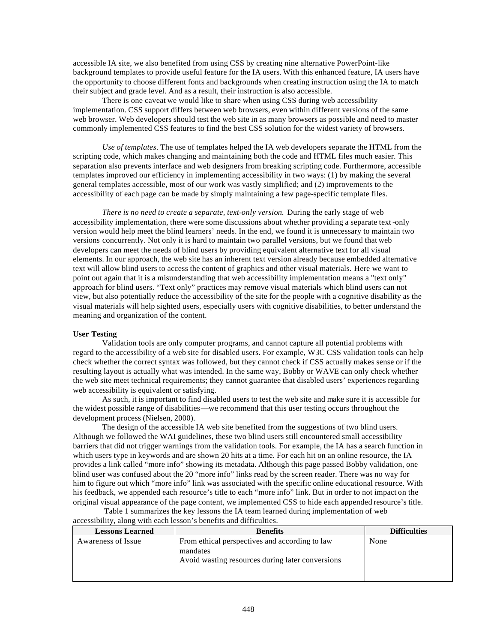accessible IA site, we also benefited from using CSS by creating nine alternative PowerPoint-like background templates to provide useful feature for the IA users. With this enhanced feature, IA users have the opportunity to choose different fonts and backgrounds when creating instruction using the IA to match their subject and grade level. And as a result, their instruction is also accessible.

There is one caveat we would like to share when using CSS during web accessibility implementation. CSS support differs between web browsers, even within different versions of the same web browser. Web developers should test the web site in as many browsers as possible and need to master commonly implemented CSS features to find the best CSS solution for the widest variety of browsers.

*Use of templates*. The use of templates helped the IA web developers separate the HTML from the scripting code, which makes changing and maintaining both the code and HTML files much easier. This separation also prevents interface and web designers from breaking scripting code. Furthermore, accessible templates improved our efficiency in implementing accessibility in two ways: (1) by making the several general templates accessible, most of our work was vastly simplified; and (2) improvements to the accessibility of each page can be made by simply maintaining a few page-specific template files.

*There is no need to create a separate, text-only version.* During the early stage of web accessibility implementation, there were some discussions about whether providing a separate text-only version would help meet the blind learners' needs. In the end, we found it is unnecessary to maintain two versions concurrently. Not only it is hard to maintain two parallel versions, but we found that web developers can meet the needs of blind users by providing equivalent alternative text for all visual elements. In our approach, the web site has an inherent text version already because embedded alternative text will allow blind users to access the content of graphics and other visual materials. Here we want to point out again that it is a misunderstanding that web accessibility implementation means a "text only" approach for blind users. "Text only" practices may remove visual materials which blind users can not view, but also potentially reduce the accessibility of the site for the people with a cognitive disability as the visual materials will help sighted users, especially users with cognitive disabilities, to better understand the meaning and organization of the content.

# **User Testing**

Validation tools are only computer programs, and cannot capture all potential problems with regard to the accessibility of a web site for disabled users. For example, W3C CSS validation tools can help check whether the correct syntax was followed, but they cannot check if CSS actually makes sense or if the resulting layout is actually what was intended. In the same way, Bobby or WAVE can only check whether the web site meet technical requirements; they cannot guarantee that disabled users' experiences regarding web accessibility is equivalent or satisfying.

As such, it is important to find disabled users to test the web site and make sure it is accessible for the widest possible range of disabilities—we recommend that this user testing occurs throughout the development process (Nielsen, 2000).

The design of the accessible IA web site benefited from the suggestions of two blind users. Although we followed the WAI guidelines, these two blind users still encountered small accessibility barriers that did not trigger warnings from the validation tools. For example, the IA has a search function in which users type in keywords and are shown 20 hits at a time. For each hit on an online resource, the IA provides a link called "more info" showing its metadata. Although this page passed Bobby validation, one blind user was confused about the 20 "more info" links read by the screen reader. There was no way for him to figure out which "more info" link was associated with the specific online educational resource. With his feedback, we appended each resource's title to each "more info" link. But in order to not impact on the original visual appearance of the page content, we implemented CSS to hide each appended resource's title.

| accessibility, along with each lesson s benefits and difficulties. |                                                                                                                |                     |  |  |
|--------------------------------------------------------------------|----------------------------------------------------------------------------------------------------------------|---------------------|--|--|
| <b>Lessons Learned</b>                                             | <b>Benefits</b>                                                                                                | <b>Difficulties</b> |  |  |
| Awareness of Issue                                                 | From ethical perspectives and according to law<br>mandates<br>Avoid wasting resources during later conversions | None                |  |  |

Table 1 summarizes the key lessons the IA team learned during implementation of web accessibility, along with each lesson's benefits and difficulties.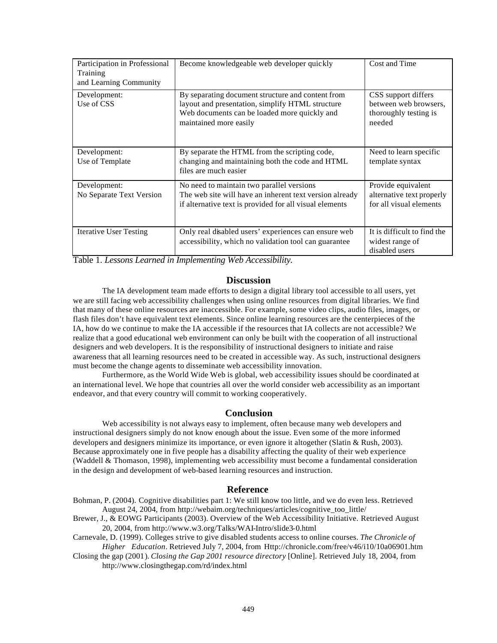| Participation in Professional<br>Training<br>and Learning Community | Become knowledgeable web developer quickly                                                                                                                                      | Cost and Time                                                                   |
|---------------------------------------------------------------------|---------------------------------------------------------------------------------------------------------------------------------------------------------------------------------|---------------------------------------------------------------------------------|
| Development:<br>Use of CSS                                          | By separating document structure and content from<br>layout and presentation, simplify HTML structure<br>Web documents can be loaded more quickly and<br>maintained more easily | CSS support differs<br>between web browsers,<br>thoroughly testing is<br>needed |
| Development:<br>Use of Template                                     | By separate the HTML from the scripting code,<br>changing and maintaining both the code and HTML<br>files are much easier                                                       | Need to learn specific<br>template syntax                                       |
| Development:<br>No Separate Text Version                            | No need to maintain two parallel versions<br>The web site will have an inherent text version already<br>if alternative text is provided for all visual elements                 | Provide equivalent<br>alternative text properly<br>for all visual elements      |
| <b>Iterative User Testing</b>                                       | Only real disabled users' experiences can ensure web<br>accessibility, which no validation tool can guarantee                                                                   | It is difficult to find the<br>widest range of<br>disabled users                |

Table 1. *Lessons Learned in Implementing Web Accessibility.*

## **Discussion**

The IA development team made efforts to design a digital library tool accessible to all users, yet we are still facing web accessibility challenges when using online resources from digital libraries. We find that many of these online resources are inaccessible. For example, some video clips, audio files, images, or flash files don't have equivalent text elements. Since online learning resources are the centerpieces of the IA, how do we continue to make the IA accessible if the resources that IA collects are not accessible? We realize that a good educational web environment can only be built with the cooperation of all instructional designers and web developers. It is the responsibility of instructional designers to initiate and raise awareness that all learning resources need to be created in accessible way. As such, instructional designers must become the change agents to disseminate web accessibility innovation.

Furthermore, as the World Wide Web is global, web accessibility issues should be coordinated at an international level. We hope that countries all over the world consider web accessibility as an important endeavor, and that every country will commit to working cooperatively.

## **Conclusion**

Web accessibility is not always easy to implement, often because many web developers and instructional designers simply do not know enough about the issue. Even some of the more informed developers and designers minimize its importance, or even ignore it altogether (Slatin & Rush, 2003). Because approximately one in five people has a disability affecting the quality of their web experience (Waddell & Thomason, 1998), implementing web accessibility must become a fundamental consideration in the design and development of web-based learning resources and instruction.

# **Reference**

Bohman, P. (2004). Cognitive disabilities part 1: We still know too little, and we do even less. Retrieved August 24, 2004, from http://webaim.org/techniques/articles/cognitive\_too\_little/

Brewer, J., & EOWG Participants (2003). Overview of the Web Accessibility Initiative. Retrieved August 20, 2004, from http://www.w3.org/Talks/WAI-Intro/slide3-0.html

Carnevale, D. (1999). Colleges strive to give disabled students access to online courses. *The Chronicle of Higher Education*. Retrieved July 7, 2004, from Http://chronicle.com/free/v46/i10/10a06901.htm

Closing the gap (2001). *Closing the Gap 2001 resource directory* [Online]. Retrieved July 18, 2004, from http://www.closingthegap.com/rd/index.html